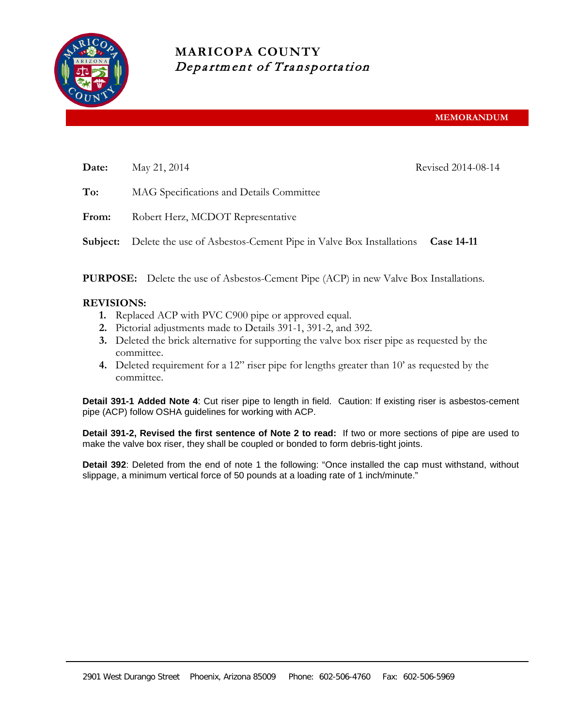

## **MARICOPA COUNTY** Department of Transportation

| Date:    | May 21, 2014                                                      | Revised 2014-08-14 |
|----------|-------------------------------------------------------------------|--------------------|
| To:      | MAG Specifications and Details Committee                          |                    |
| From:    | Robert Herz, MCDOT Representative                                 |                    |
| Subject: | Delete the use of Asbestos-Cement Pipe in Valve Box Installations | <b>Case 14-11</b>  |
|          |                                                                   |                    |

**PURPOSE:** Delete the use of Asbestos-Cement Pipe (ACP) in new Valve Box Installations.

## **REVISIONS:**

- **1.** Replaced ACP with PVC C900 pipe or approved equal.
- **2.** Pictorial adjustments made to Details 391-1, 391-2, and 392.
- **3.** Deleted the brick alternative for supporting the valve box riser pipe as requested by the committee.
- **4.** Deleted requirement for a 12" riser pipe for lengths greater than 10' as requested by the committee.

**Detail 391-1 Added Note 4**: Cut riser pipe to length in field. Caution: If existing riser is asbestos-cement pipe (ACP) follow OSHA guidelines for working with ACP.

**Detail 391-2, Revised the first sentence of Note 2 to read:** If two or more sections of pipe are used to make the valve box riser, they shall be coupled or bonded to form debris-tight joints.

**Detail 392**: Deleted from the end of note 1 the following: "Once installed the cap must withstand, without slippage, a minimum vertical force of 50 pounds at a loading rate of 1 inch/minute."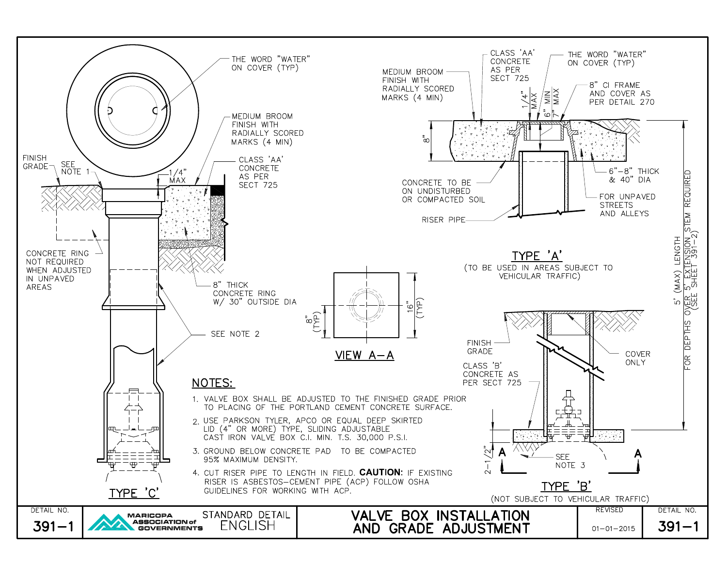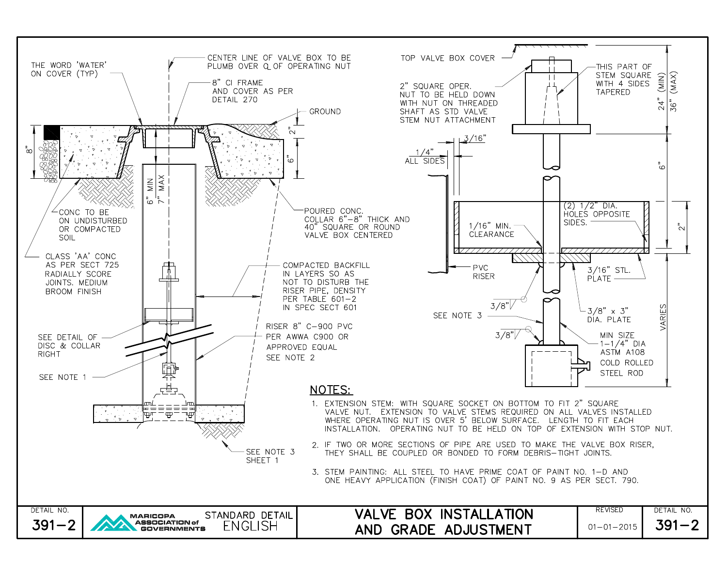